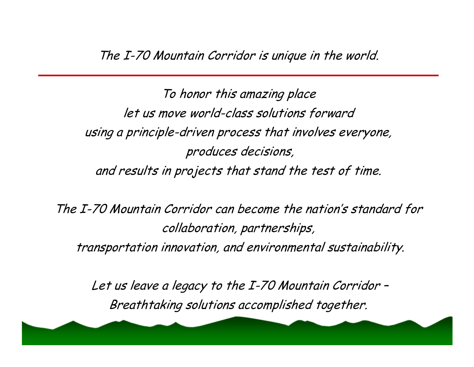To honor this amazing place let us move world-class solutions forward using a principle-driven process that involves everyone, produces decisions, and results in projects that stand the test of time.

The I-70 Mountain Corridor can become the nation's standard for collaboration, partnerships, transportation innovation, and environmental sustainability.

Let us leave a legacy to the I-70 Mountain Corridor – Breathtaking solutions accomplished together.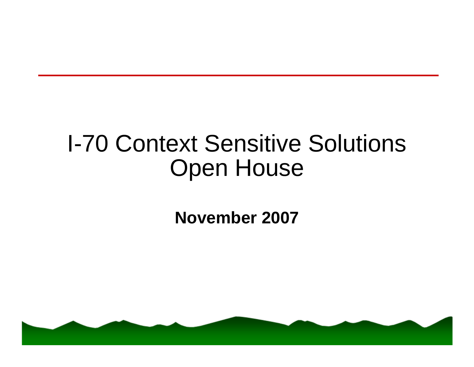## I-70 Context Sensitive Solutions Open House

**November 2007**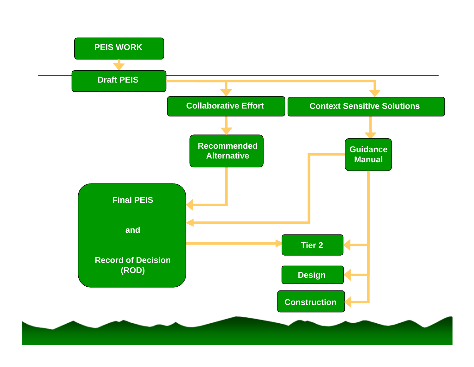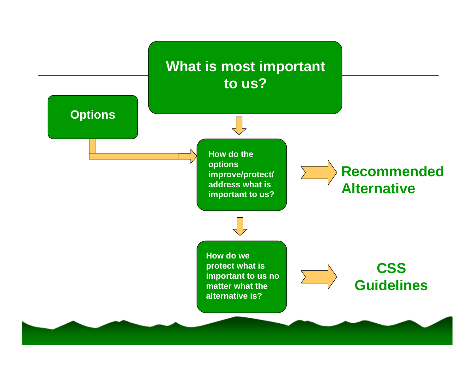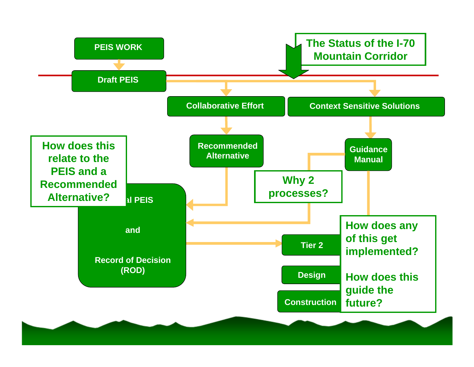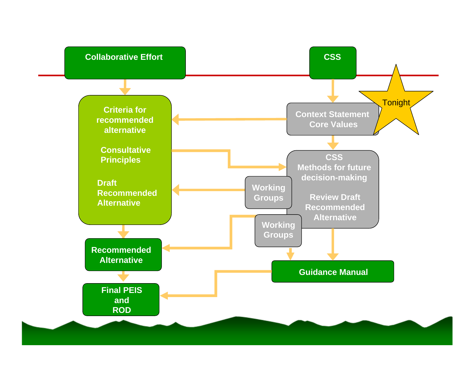